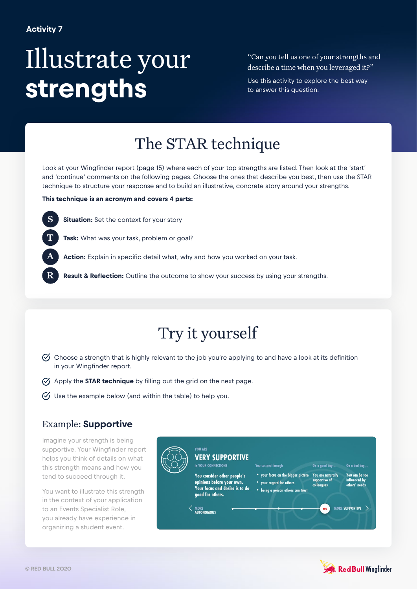# Illustrate your **strengths**

"Can you tell us one of your strengths and describe a time when you leveraged it?"

Use this activity to explore the best way to answer this question.

## The STAR technique

Look at your Wingfinder report (page 15) where each of your top strengths are listed. Then look at the 'start' and 'continue' comments on the following pages. Choose the ones that describe you best, then use the STAR technique to structure your response and to build an illustrative, concrete story around your strengths.

#### **This technique is an acronym and covers 4 parts:**

**Situation:** Set the context for your story



A

S

**Action:** Explain in specific detail what, why and how you worked on your task.

R **Result & Reflection:** Outline the outcome to show your success by using your strengths.

### Try it yourself

- $\heartsuit$  Choose a strength that is highly relevant to the job you're applying to and have a look at its definition in your Wingfinder report.
- Apply the **STAR technique** by filling out the grid on the next page.
- $\heartsuit$  Use the example below (and within the table) to help you.

#### Example: **Supportive**

Imagine your strength is being supportive. Your Wingfinder report helps you think of details on what this strength means and how you tend to succeed through it.

You want to illustrate this strength in the context of your application to an Events Specialist Role, you already have experience in organizing a student event.